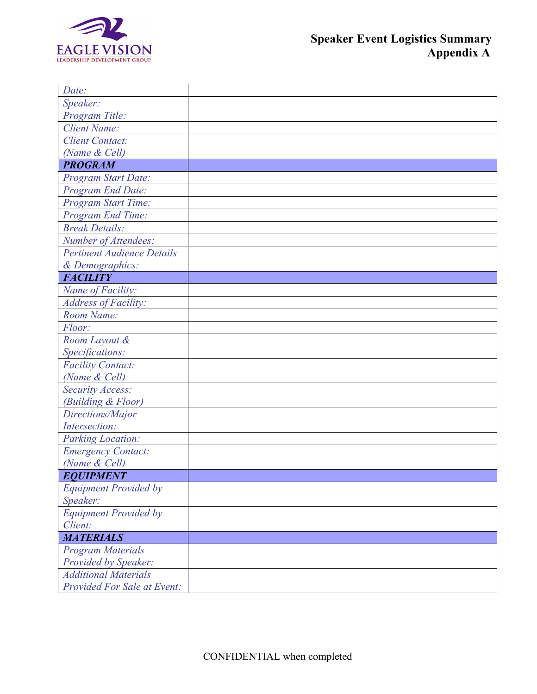

| Date:                              |  |
|------------------------------------|--|
| Speaker:                           |  |
| Program Title:                     |  |
| <b>Client Name:</b>                |  |
| <b>Client Contact:</b>             |  |
| (Name & Cell)                      |  |
| <b>PROGRAM</b>                     |  |
| Program Start Date:                |  |
| Program End Date:                  |  |
| Program Start Time:                |  |
| Program End Time:                  |  |
| <b>Break Details:</b>              |  |
| Number of Attendees:               |  |
| <b>Pertinent Audience Details</b>  |  |
| & Demographics:                    |  |
| <b>FACILITY</b>                    |  |
| Name of Facility:                  |  |
| <b>Address of Facility:</b>        |  |
| Room Name:                         |  |
| Floor:                             |  |
| Room Layout &                      |  |
| Specifications:                    |  |
| <b>Facility Contact:</b>           |  |
| (Name & Cell)                      |  |
| <b>Security Access:</b>            |  |
| (Building & Floor)                 |  |
| Directions/Major                   |  |
| Intersection:                      |  |
| <b>Parking Location:</b>           |  |
| <b>Emergency Contact:</b>          |  |
| (Name & Cell)                      |  |
| <b>EQUIPMENT</b>                   |  |
| <b>Equipment Provided by</b>       |  |
| Speaker:                           |  |
| <b>Equipment Provided by</b>       |  |
| Client:                            |  |
| <b>MATERIALS</b>                   |  |
| <b>Program Materials</b>           |  |
| <b>Provided by Speaker:</b>        |  |
| <b>Additional Materials</b>        |  |
| <b>Provided For Sale at Event:</b> |  |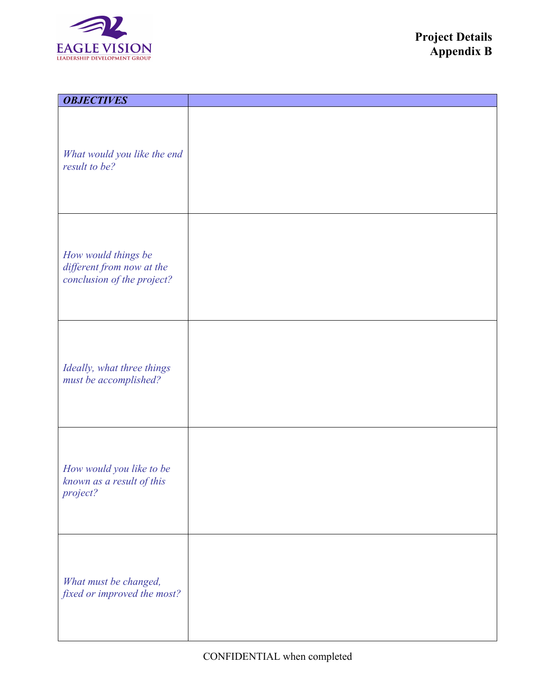

| <b>OBJECTIVES</b>                                                              |  |
|--------------------------------------------------------------------------------|--|
| What would you like the end<br>result to be?                                   |  |
| How would things be<br>different from now at the<br>conclusion of the project? |  |
| Ideally, what three things<br>must be accomplished?                            |  |
| How would you like to be<br>known as a result of this<br>project?              |  |
| What must be changed,<br>fixed or improved the most?                           |  |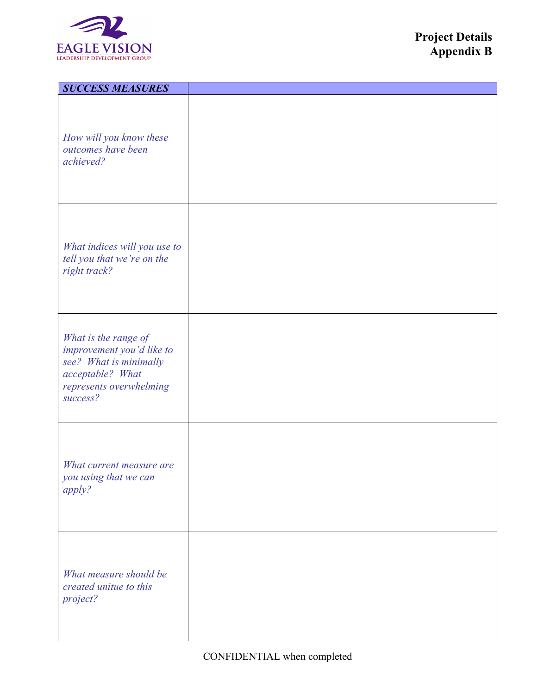

| <b>SUCCESS MEASURES</b>                                                                                                                |  |
|----------------------------------------------------------------------------------------------------------------------------------------|--|
| How will you know these<br>outcomes have been<br>achieved?                                                                             |  |
| What indices will you use to<br>tell you that we're on the<br>right track?                                                             |  |
| What is the range of<br>improvement you'd like to<br>see? What is minimally<br>acceptable? What<br>represents overwhelming<br>success? |  |
| What current measure are<br>you using that we can<br>apply?                                                                            |  |
| What measure should be<br>created unitue to this<br>project?                                                                           |  |